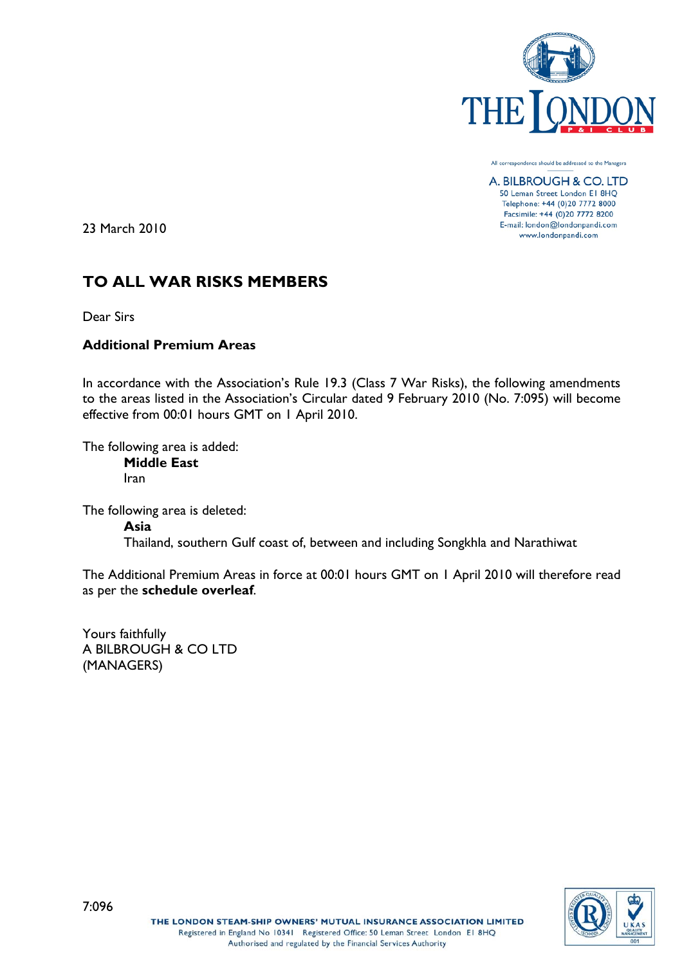

All correspondence should be addressed to the Managers

A. BILBROUGH & CO. LTD 50 Leman Street London El 8HQ Telephone: +44 (0)20 7772 8000 Facsimile: +44 (0)20 7772 8200 E-mail: london@londonpandi.com www.londonpandi.com

23 March 2010

# **TO ALL WAR RISKS MEMBERS**

Dear Sirs

## **Additional Premium Areas**

In accordance with the Association's Rule 19.3 (Class 7 War Risks), the following amendments to the areas listed in the Association's Circular dated 9 February 2010 (No. 7:095) will become effective from 00:01 hours GMT on 1 April 2010.

The following area is added:

**Middle East** Iran

The following area is deleted: **Asia** Thailand, southern Gulf coast of, between and including Songkhla and Narathiwat

The Additional Premium Areas in force at 00:01 hours GMT on 1 April 2010 will therefore read as per the **schedule overleaf**.

Yours faithfully A BILBROUGH & CO LTD (MANAGERS)